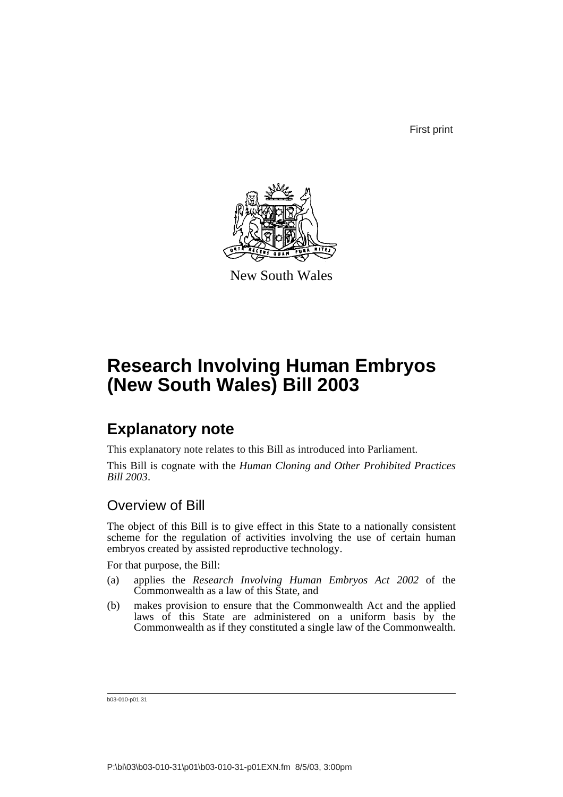First print



New South Wales

# **Research Involving Human Embryos (New South Wales) Bill 2003**

# **Explanatory note**

This explanatory note relates to this Bill as introduced into Parliament.

This Bill is cognate with the *Human Cloning and Other Prohibited Practices Bill 2003*.

# Overview of Bill

The object of this Bill is to give effect in this State to a nationally consistent scheme for the regulation of activities involving the use of certain human embryos created by assisted reproductive technology.

For that purpose, the Bill:

- (a) applies the *Research Involving Human Embryos Act 2002* of the Commonwealth as a law of this State, and
- (b) makes provision to ensure that the Commonwealth Act and the applied laws of this State are administered on a uniform basis by the Commonwealth as if they constituted a single law of the Commonwealth.

b03-010-p01.31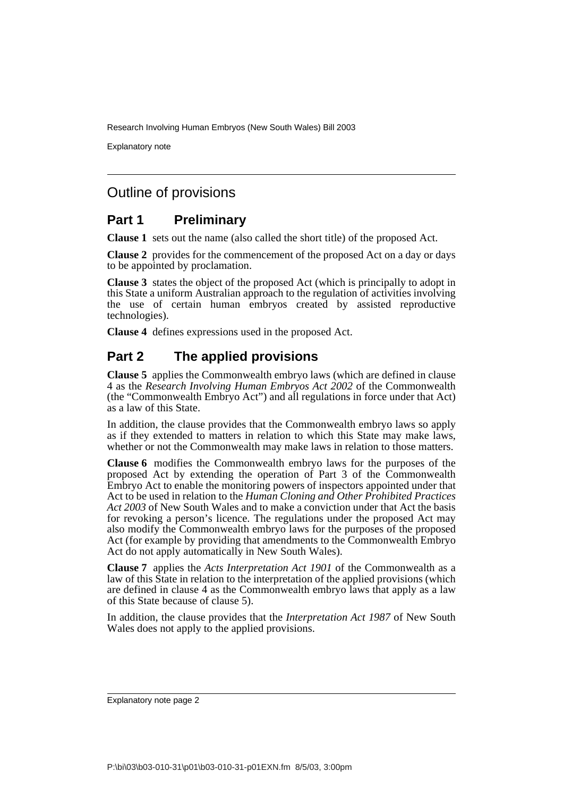Explanatory note

# Outline of provisions

# **Part 1 Preliminary**

**Clause 1** sets out the name (also called the short title) of the proposed Act.

**Clause 2** provides for the commencement of the proposed Act on a day or days to be appointed by proclamation.

**Clause 3** states the object of the proposed Act (which is principally to adopt in this State a uniform Australian approach to the regulation of activities involving the use of certain human embryos created by assisted reproductive technologies).

**Clause 4** defines expressions used in the proposed Act.

# **Part 2 The applied provisions**

**Clause 5** applies the Commonwealth embryo laws (which are defined in clause 4 as the *Research Involving Human Embryos Act 2002* of the Commonwealth (the "Commonwealth Embryo Act") and all regulations in force under that Act) as a law of this State.

In addition, the clause provides that the Commonwealth embryo laws so apply as if they extended to matters in relation to which this State may make laws, whether or not the Commonwealth may make laws in relation to those matters.

**Clause 6** modifies the Commonwealth embryo laws for the purposes of the proposed Act by extending the operation of Part 3 of the Commonwealth Embryo Act to enable the monitoring powers of inspectors appointed under that Act to be used in relation to the *Human Cloning and Other Prohibited Practices Act 2003* of New South Wales and to make a conviction under that Act the basis for revoking a person's licence. The regulations under the proposed Act may also modify the Commonwealth embryo laws for the purposes of the proposed Act (for example by providing that amendments to the Commonwealth Embryo Act do not apply automatically in New South Wales).

**Clause 7** applies the *Acts Interpretation Act 1901* of the Commonwealth as a law of this State in relation to the interpretation of the applied provisions (which are defined in clause 4 as the Commonwealth embryo laws that apply as a law of this State because of clause 5).

In addition, the clause provides that the *Interpretation Act 1987* of New South Wales does not apply to the applied provisions.

Explanatory note page 2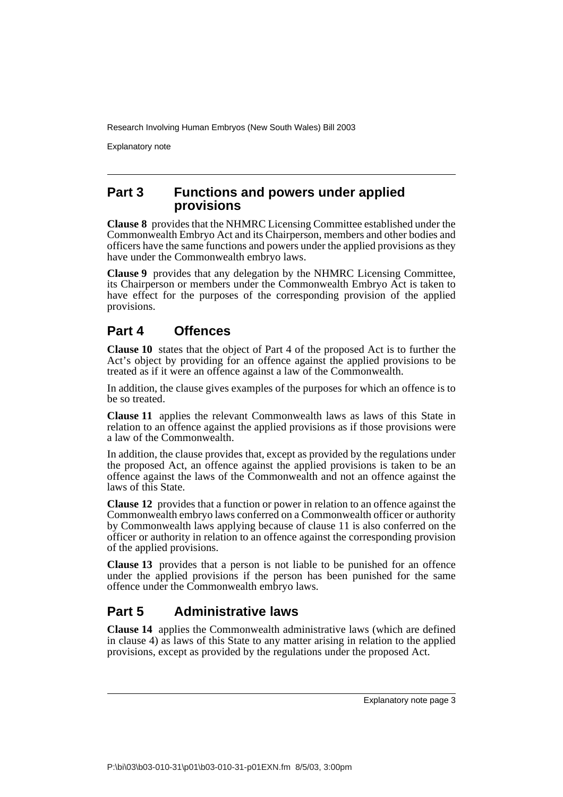Explanatory note

# **Part 3 Functions and powers under applied provisions**

**Clause 8** provides that the NHMRC Licensing Committee established under the Commonwealth Embryo Act and its Chairperson, members and other bodies and officers have the same functions and powers under the applied provisions as they have under the Commonwealth embryo laws.

**Clause 9** provides that any delegation by the NHMRC Licensing Committee, its Chairperson or members under the Commonwealth Embryo Act is taken to have effect for the purposes of the corresponding provision of the applied provisions.

# **Part 4 Offences**

**Clause 10** states that the object of Part 4 of the proposed Act is to further the Act's object by providing for an offence against the applied provisions to be treated as if it were an offence against a law of the Commonwealth.

In addition, the clause gives examples of the purposes for which an offence is to be so treated.

**Clause 11** applies the relevant Commonwealth laws as laws of this State in relation to an offence against the applied provisions as if those provisions were a law of the Commonwealth.

In addition, the clause provides that, except as provided by the regulations under the proposed Act, an offence against the applied provisions is taken to be an offence against the laws of the Commonwealth and not an offence against the laws of this State.

**Clause 12** provides that a function or power in relation to an offence against the Commonwealth embryo laws conferred on a Commonwealth officer or authority by Commonwealth laws applying because of clause 11 is also conferred on the officer or authority in relation to an offence against the corresponding provision of the applied provisions.

**Clause 13** provides that a person is not liable to be punished for an offence under the applied provisions if the person has been punished for the same offence under the Commonwealth embryo laws.

# **Part 5 Administrative laws**

**Clause 14** applies the Commonwealth administrative laws (which are defined in clause 4) as laws of this State to any matter arising in relation to the applied provisions, except as provided by the regulations under the proposed Act.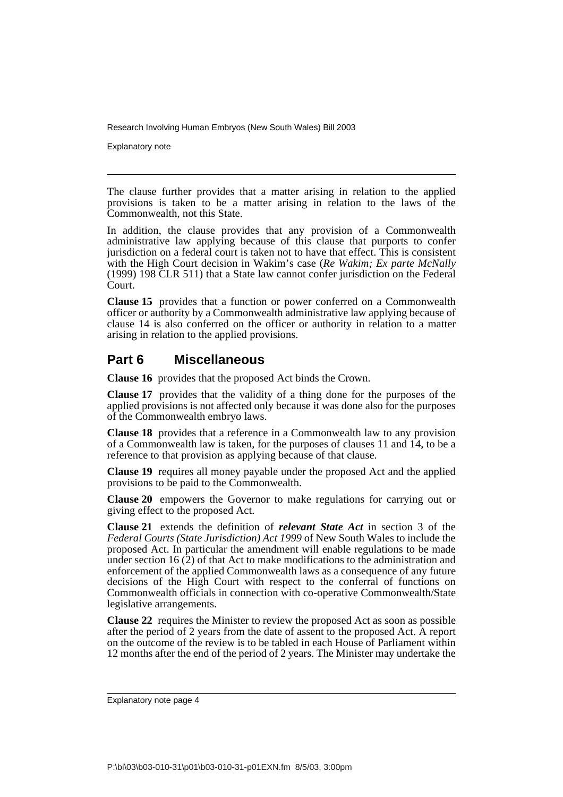Explanatory note

The clause further provides that a matter arising in relation to the applied provisions is taken to be a matter arising in relation to the laws of the Commonwealth, not this State.

In addition, the clause provides that any provision of a Commonwealth administrative law applying because of this clause that purports to confer jurisdiction on a federal court is taken not to have that effect. This is consistent with the High Court decision in Wakim's case (*Re Wakim; Ex parte McNally* (1999) 198 CLR 511) that a State law cannot confer jurisdiction on the Federal Court.

**Clause 15** provides that a function or power conferred on a Commonwealth officer or authority by a Commonwealth administrative law applying because of clause 14 is also conferred on the officer or authority in relation to a matter arising in relation to the applied provisions.

# **Part 6 Miscellaneous**

**Clause 16** provides that the proposed Act binds the Crown.

**Clause 17** provides that the validity of a thing done for the purposes of the applied provisions is not affected only because it was done also for the purposes of the Commonwealth embryo laws.

**Clause 18** provides that a reference in a Commonwealth law to any provision of a Commonwealth law is taken, for the purposes of clauses 11 and 14, to be a reference to that provision as applying because of that clause.

**Clause 19** requires all money payable under the proposed Act and the applied provisions to be paid to the Commonwealth.

**Clause 20** empowers the Governor to make regulations for carrying out or giving effect to the proposed Act.

**Clause 21** extends the definition of *relevant State Act* in section 3 of the *Federal Courts (State Jurisdiction) Act 1999* of New South Wales to include the proposed Act. In particular the amendment will enable regulations to be made under section 16 (2) of that Act to make modifications to the administration and enforcement of the applied Commonwealth laws as a consequence of any future decisions of the High Court with respect to the conferral of functions on Commonwealth officials in connection with co-operative Commonwealth/State legislative arrangements.

**Clause 22** requires the Minister to review the proposed Act as soon as possible after the period of 2 years from the date of assent to the proposed Act. A report on the outcome of the review is to be tabled in each House of Parliament within 12 months after the end of the period of 2 years. The Minister may undertake the

Explanatory note page 4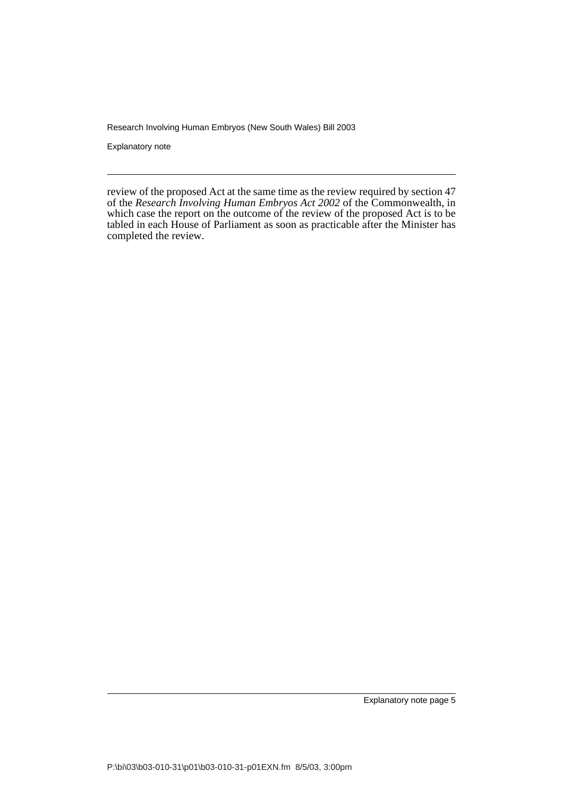Explanatory note

review of the proposed Act at the same time as the review required by section 47 of the *Research Involving Human Embryos Act 2002* of the Commonwealth, in which case the report on the outcome of the review of the proposed Act is to be tabled in each House of Parliament as soon as practicable after the Minister has completed the review.

Explanatory note page 5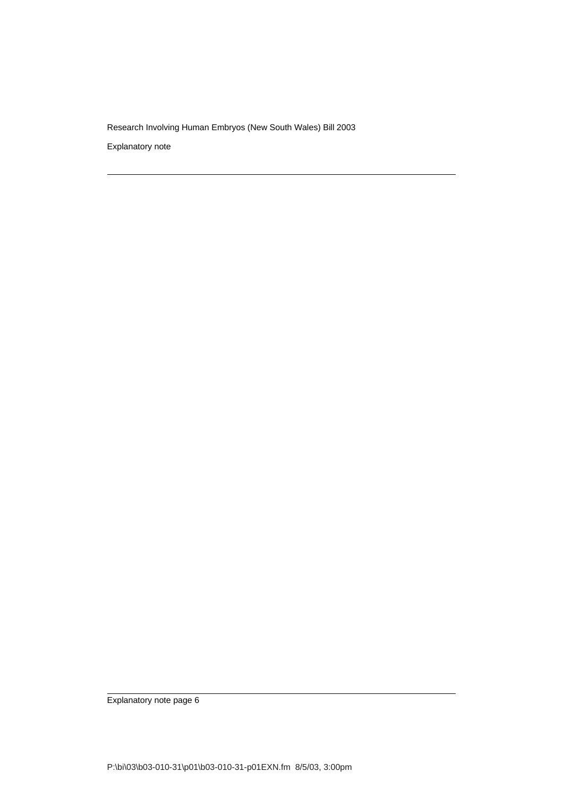Explanatory note

Explanatory note page 6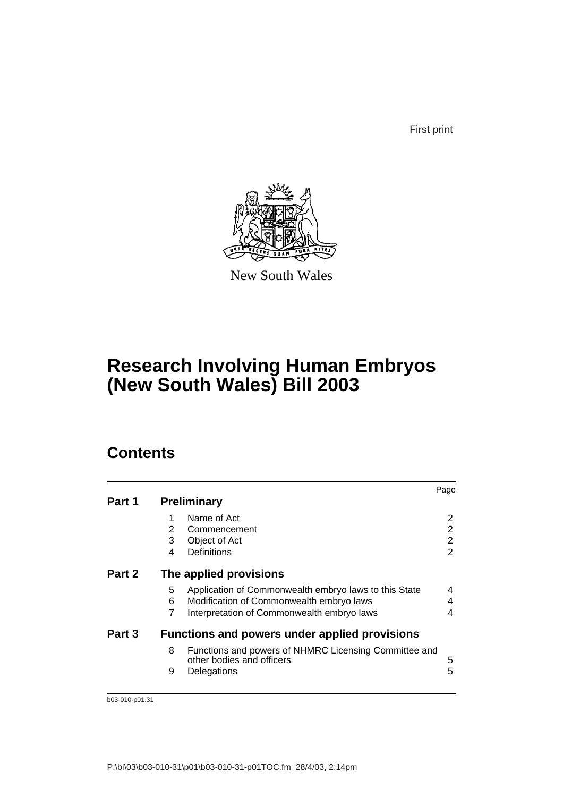First print



New South Wales

# **Research Involving Human Embryos (New South Wales) Bill 2003**

# **Contents**

|        |   |                                                                                    | Page |
|--------|---|------------------------------------------------------------------------------------|------|
| Part 1 |   | <b>Preliminary</b>                                                                 |      |
|        | 1 | Name of Act                                                                        | 2    |
|        | 2 | Commencement                                                                       | 2    |
|        | 3 | Object of Act                                                                      | 2    |
|        | 4 | Definitions                                                                        | 2    |
| Part 2 |   | The applied provisions                                                             |      |
|        | 5 | Application of Commonwealth embryo laws to this State                              | 4    |
|        | 6 | Modification of Commonwealth embryo laws                                           | 4    |
|        | 7 | Interpretation of Commonwealth embryo laws                                         | 4    |
| Part 3 |   | Functions and powers under applied provisions                                      |      |
|        | 8 | Functions and powers of NHMRC Licensing Committee and<br>other bodies and officers | 5    |
|        | 9 | Delegations                                                                        | 5    |
|        |   |                                                                                    |      |

b03-010-p01.31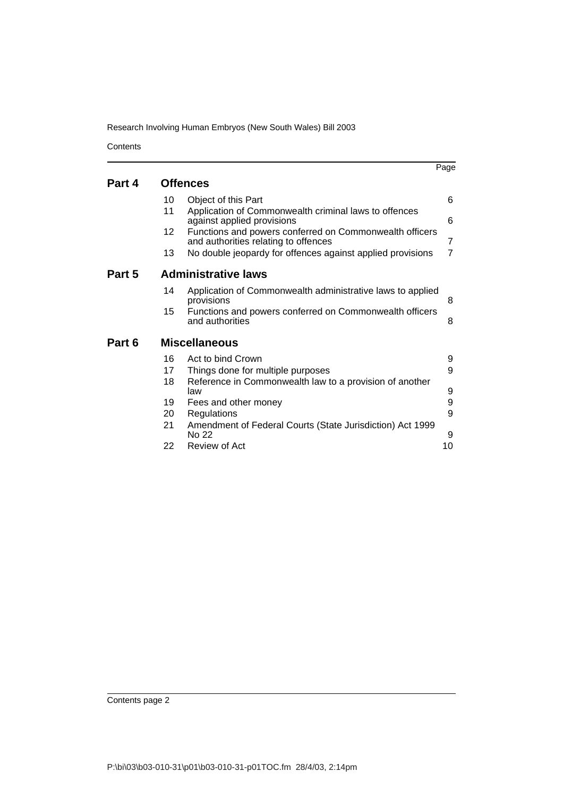**Contents** 

|        |                 |                                                                                                 | Page           |
|--------|-----------------|-------------------------------------------------------------------------------------------------|----------------|
| Part 4 |                 | <b>Offences</b>                                                                                 |                |
|        | 10              | Object of this Part                                                                             | 6              |
|        | 11              | Application of Commonwealth criminal laws to offences<br>against applied provisions             | 6              |
|        | 12 <sup>2</sup> | Functions and powers conferred on Commonwealth officers<br>and authorities relating to offences | 7              |
|        | 13              | No double jeopardy for offences against applied provisions                                      | $\overline{7}$ |
| Part 5 |                 | <b>Administrative laws</b>                                                                      |                |
|        | 14              | Application of Commonwealth administrative laws to applied<br>provisions                        | 8              |
|        | 15              | Functions and powers conferred on Commonwealth officers<br>and authorities                      | 8              |
| Part 6 |                 | <b>Miscellaneous</b>                                                                            |                |
|        | 16              | Act to bind Crown                                                                               | 9              |
|        | 17              | Things done for multiple purposes                                                               | 9              |
|        | 18              | Reference in Commonwealth law to a provision of another<br>law                                  | 9              |
|        | 19              | Fees and other money                                                                            | 9              |
|        | 20              | Regulations                                                                                     | 9              |
|        | 21              | Amendment of Federal Courts (State Jurisdiction) Act 1999<br>No 22                              | 9              |
|        | 22              | Review of Act                                                                                   | 10             |

Contents page 2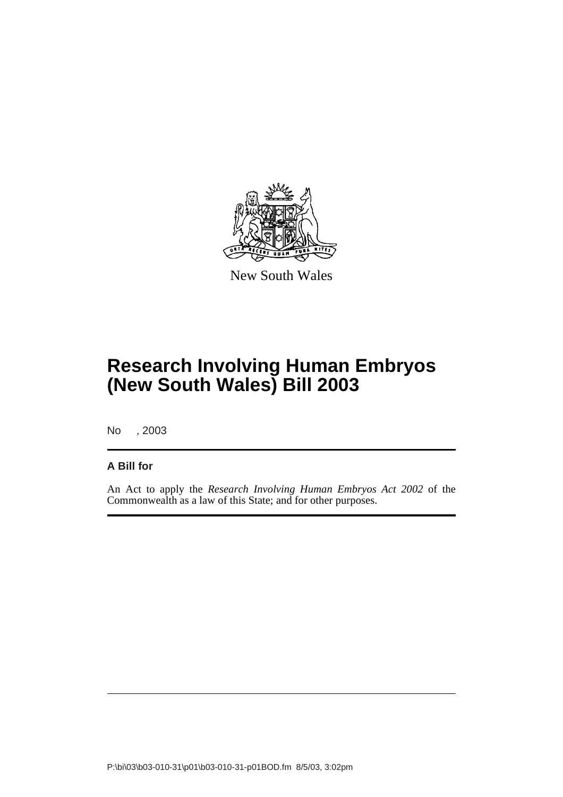

New South Wales

# **Research Involving Human Embryos (New South Wales) Bill 2003**

No , 2003

## **A Bill for**

An Act to apply the *Research Involving Human Embryos Act 2002* of the Commonwealth as a law of this State; and for other purposes.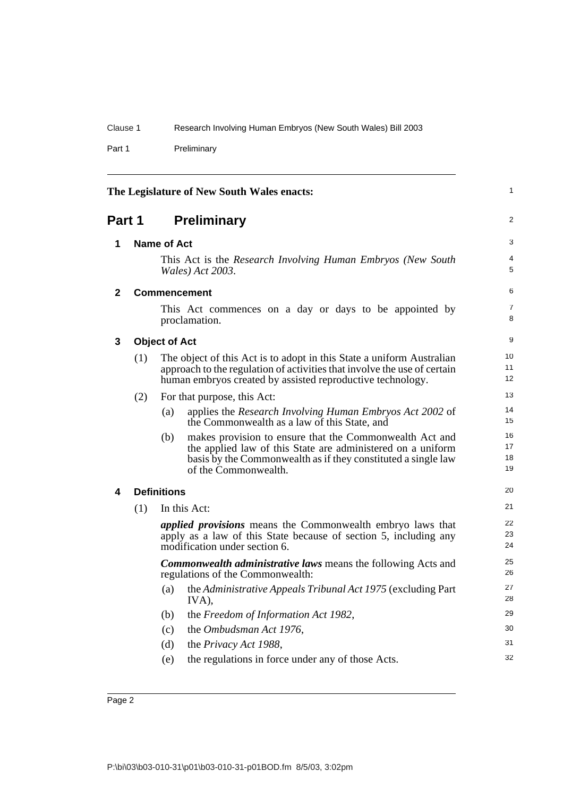Part 1 Preliminary

<span id="page-9-4"></span><span id="page-9-3"></span><span id="page-9-2"></span><span id="page-9-1"></span><span id="page-9-0"></span>

| The Legislature of New South Wales enacts: |     |                      |                                                                                                                                                                                                                 | $\mathbf{1}$         |
|--------------------------------------------|-----|----------------------|-----------------------------------------------------------------------------------------------------------------------------------------------------------------------------------------------------------------|----------------------|
| Part 1                                     |     |                      | <b>Preliminary</b>                                                                                                                                                                                              | 2                    |
| 1                                          |     | <b>Name of Act</b>   |                                                                                                                                                                                                                 | 3                    |
|                                            |     |                      | This Act is the Research Involving Human Embryos (New South<br><i>Wales</i> ) Act 2003.                                                                                                                         | 4<br>5               |
| $\mathbf{2}$                               |     |                      | <b>Commencement</b>                                                                                                                                                                                             | 6                    |
|                                            |     |                      | This Act commences on a day or days to be appointed by<br>proclamation.                                                                                                                                         | $\overline{7}$<br>8  |
| 3                                          |     | <b>Object of Act</b> |                                                                                                                                                                                                                 | 9                    |
|                                            | (1) |                      | The object of this Act is to adopt in this State a uniform Australian<br>approach to the regulation of activities that involve the use of certain<br>human embryos created by assisted reproductive technology. | 10<br>11<br>12       |
|                                            | (2) |                      | For that purpose, this Act:                                                                                                                                                                                     | 13                   |
|                                            |     | (a)                  | applies the Research Involving Human Embryos Act 2002 of<br>the Commonwealth as a law of this State, and                                                                                                        | 14<br>15             |
|                                            |     | (b)                  | makes provision to ensure that the Commonwealth Act and<br>the applied law of this State are administered on a uniform<br>basis by the Commonwealth as if they constituted a single law<br>of the Commonwealth. | 16<br>17<br>18<br>19 |
| 4                                          |     | <b>Definitions</b>   |                                                                                                                                                                                                                 | 20                   |
|                                            | (1) |                      | In this Act:                                                                                                                                                                                                    | 21                   |
|                                            |     |                      | <i>applied provisions</i> means the Commonwealth embryo laws that<br>apply as a law of this State because of section 5, including any<br>modification under section 6.                                          | 22<br>23<br>24       |
|                                            |     |                      | <b>Commonwealth administrative laws means the following Acts and</b><br>regulations of the Commonwealth:                                                                                                        | 25<br>26             |
|                                            |     | (a)                  | the Administrative Appeals Tribunal Act 1975 (excluding Part<br>IVA),                                                                                                                                           | 27<br>28             |
|                                            |     | (b)                  | the Freedom of Information Act 1982,                                                                                                                                                                            | 29                   |
|                                            |     | (c)                  | the Ombudsman Act 1976,                                                                                                                                                                                         | 30                   |
|                                            |     | (d)                  | the Privacy Act 1988,                                                                                                                                                                                           | 31                   |
|                                            |     | (e)                  | the regulations in force under any of those Acts.                                                                                                                                                               | 32                   |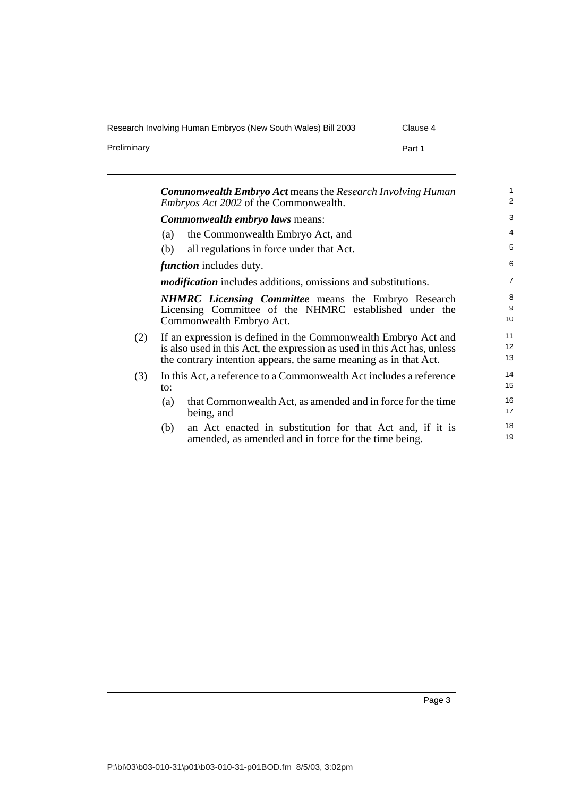| Research Involving Human Embryos (New South Wales) Bill 2003 |  |
|--------------------------------------------------------------|--|
|                                                              |  |

Clause 4

Preliminary **Preliminary Part 1** 

|     |                                                                                                                                                                                                                | <b>Commonwealth Embryo Act means the Research Involving Human</b><br><i>Embryos Act 2002</i> of the Commonwealth.                                | $\mathbf{1}$<br>$\overline{2}$ |
|-----|----------------------------------------------------------------------------------------------------------------------------------------------------------------------------------------------------------------|--------------------------------------------------------------------------------------------------------------------------------------------------|--------------------------------|
|     |                                                                                                                                                                                                                | <b>Commonwealth embryo laws means:</b>                                                                                                           | 3                              |
|     | (a)                                                                                                                                                                                                            | the Commonwealth Embryo Act, and                                                                                                                 | $\overline{4}$                 |
|     | (b)                                                                                                                                                                                                            | all regulations in force under that Act.                                                                                                         | 5                              |
|     |                                                                                                                                                                                                                | <i>function</i> includes duty.                                                                                                                   | 6                              |
|     |                                                                                                                                                                                                                | <i>modification</i> includes additions, omissions and substitutions.                                                                             | $\overline{7}$                 |
|     |                                                                                                                                                                                                                | <b>NHMRC</b> Licensing Committee means the Embryo Research<br>Licensing Committee of the NHMRC established under the<br>Commonwealth Embryo Act. | 8<br>9<br>10                   |
| (2) | If an expression is defined in the Commonwealth Embryo Act and<br>is also used in this Act, the expression as used in this Act has, unless<br>the contrary intention appears, the same meaning as in that Act. |                                                                                                                                                  |                                |
| (3) | to:                                                                                                                                                                                                            | In this Act, a reference to a Commonwealth Act includes a reference                                                                              | 14<br>15                       |
|     | (a)                                                                                                                                                                                                            | that Commonwealth Act, as amended and in force for the time<br>being, and                                                                        | 16<br>17                       |
|     | (b)                                                                                                                                                                                                            | an Act enacted in substitution for that Act and, if it is<br>amended, as amended and in force for the time being.                                | 18<br>19                       |
|     |                                                                                                                                                                                                                |                                                                                                                                                  |                                |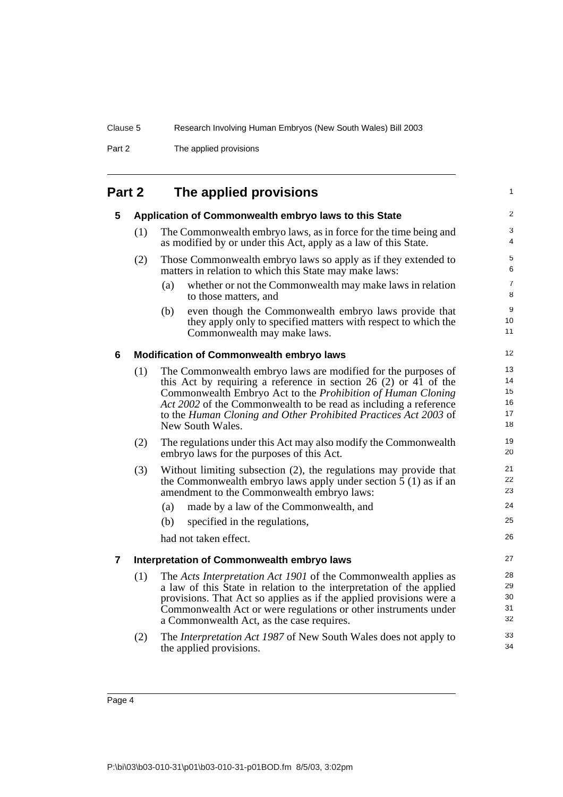Part 2 The applied provisions

# <span id="page-11-0"></span>**Part 2 The applied provisions**

<span id="page-11-3"></span><span id="page-11-2"></span><span id="page-11-1"></span>

| 5 | Application of Commonwealth embryo laws to this State |                                                                                                                                                                                                                                                                                                                                                                     |                                  |
|---|-------------------------------------------------------|---------------------------------------------------------------------------------------------------------------------------------------------------------------------------------------------------------------------------------------------------------------------------------------------------------------------------------------------------------------------|----------------------------------|
|   | (1)                                                   | The Commonwealth embryo laws, as in force for the time being and<br>as modified by or under this Act, apply as a law of this State.                                                                                                                                                                                                                                 | 3<br>$\overline{4}$              |
|   | (2)                                                   | Those Commonwealth embryo laws so apply as if they extended to<br>matters in relation to which this State may make laws:                                                                                                                                                                                                                                            | 5<br>6                           |
|   |                                                       | (a)<br>whether or not the Commonwealth may make laws in relation<br>to those matters, and                                                                                                                                                                                                                                                                           | $\overline{7}$<br>8              |
|   |                                                       | even though the Commonwealth embryo laws provide that<br>(b)<br>they apply only to specified matters with respect to which the<br>Commonwealth may make laws.                                                                                                                                                                                                       | $\boldsymbol{9}$<br>10<br>11     |
| 6 |                                                       | <b>Modification of Commonwealth embryo laws</b>                                                                                                                                                                                                                                                                                                                     | 12                               |
|   | (1)                                                   | The Commonwealth embryo laws are modified for the purposes of<br>this Act by requiring a reference in section $26(2)$ or 41 of the<br>Commonwealth Embryo Act to the <i>Prohibition of Human Cloning</i><br>Act 2002 of the Commonwealth to be read as including a reference<br>to the Human Cloning and Other Prohibited Practices Act 2003 of<br>New South Wales. | 13<br>14<br>15<br>16<br>17<br>18 |
|   | (2)                                                   | The regulations under this Act may also modify the Commonwealth<br>embryo laws for the purposes of this Act.                                                                                                                                                                                                                                                        | 19<br>20                         |
|   | (3)                                                   | Without limiting subsection $(2)$ , the regulations may provide that<br>the Commonwealth embryo laws apply under section $5(1)$ as if an<br>amendment to the Commonwealth embryo laws:                                                                                                                                                                              | 21<br>22<br>23                   |
|   |                                                       | made by a law of the Commonwealth, and<br>(a)                                                                                                                                                                                                                                                                                                                       | 24                               |
|   |                                                       | (b)<br>specified in the regulations,                                                                                                                                                                                                                                                                                                                                | 25                               |
|   |                                                       | had not taken effect.                                                                                                                                                                                                                                                                                                                                               | 26                               |
| 7 |                                                       | Interpretation of Commonwealth embryo laws                                                                                                                                                                                                                                                                                                                          | 27                               |
|   | (1)                                                   | The Acts Interpretation Act 1901 of the Commonwealth applies as<br>a law of this State in relation to the interpretation of the applied<br>provisions. That Act so applies as if the applied provisions were a<br>Commonwealth Act or were regulations or other instruments under<br>a Commonwealth Act, as the case requires.                                      | 28<br>29<br>30<br>31<br>32       |
|   | (2)                                                   | The Interpretation Act 1987 of New South Wales does not apply to<br>the applied provisions.                                                                                                                                                                                                                                                                         | 33<br>34                         |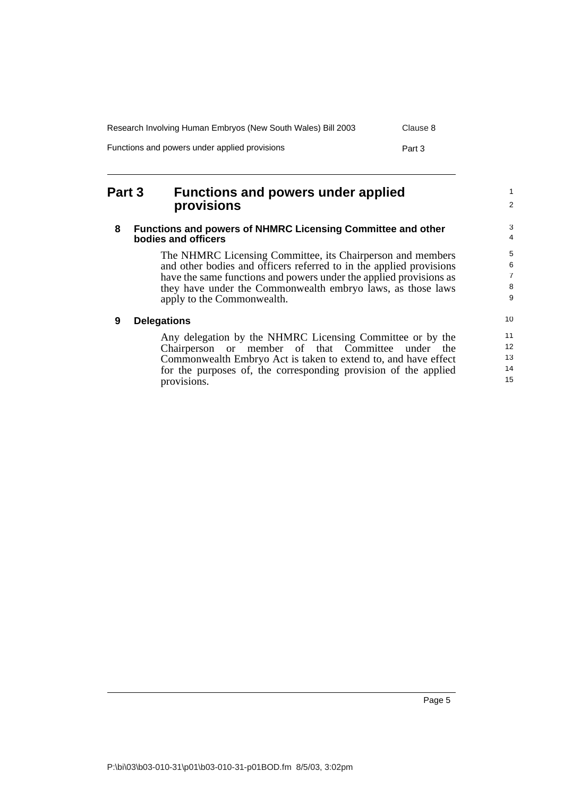| Research Involving Human Embryos (New South Wales) Bill 2003 | Clause 8 |
|--------------------------------------------------------------|----------|
| Functions and powers under applied provisions                | Part 3   |

# <span id="page-12-0"></span>**Part 3 Functions and powers under applied provisions**

### <span id="page-12-1"></span>**8 Functions and powers of NHMRC Licensing Committee and other bodies and officers**

The NHMRC Licensing Committee, its Chairperson and members and other bodies and officers referred to in the applied provisions have the same functions and powers under the applied provisions as they have under the Commonwealth embryo laws, as those laws apply to the Commonwealth.

## <span id="page-12-2"></span>**9 Delegations**

Any delegation by the NHMRC Licensing Committee or by the Chairperson or member of that Committee under the Commonwealth Embryo Act is taken to extend to, and have effect for the purposes of, the corresponding provision of the applied provisions.

1 2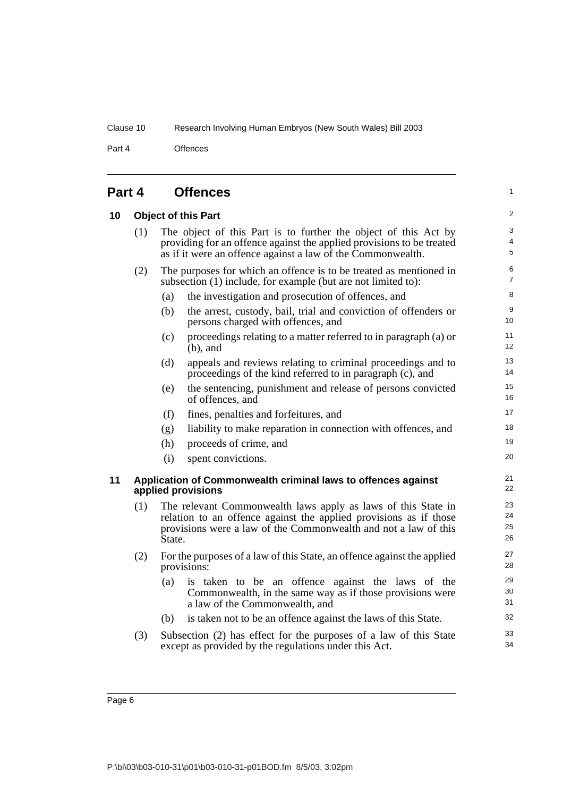Part 4 Offences

## <span id="page-13-0"></span>**Part 4 Offences**

#### <span id="page-13-2"></span><span id="page-13-1"></span>**10 Object of this Part** (1) The object of this Part is to further the object of this Act by providing for an offence against the applied provisions to be treated as if it were an offence against a law of the Commonwealth. (2) The purposes for which an offence is to be treated as mentioned in subsection (1) include, for example (but are not limited to): (a) the investigation and prosecution of offences, and (b) the arrest, custody, bail, trial and conviction of offenders or persons charged with offences, and (c) proceedings relating to a matter referred to in paragraph (a) or (b), and (d) appeals and reviews relating to criminal proceedings and to proceedings of the kind referred to in paragraph (c), and (e) the sentencing, punishment and release of persons convicted of offences, and (f) fines, penalties and forfeitures, and (g) liability to make reparation in connection with offences, and (h) proceeds of crime, and (i) spent convictions. **11 Application of Commonwealth criminal laws to offences against applied provisions** (1) The relevant Commonwealth laws apply as laws of this State in relation to an offence against the applied provisions as if those provisions were a law of the Commonwealth and not a law of this State. (2) For the purposes of a law of this State, an offence against the applied provisions: (a) is taken to be an offence against the laws of the Commonwealth, in the same way as if those provisions were a law of the Commonwealth, and (b) is taken not to be an offence against the laws of this State. (3) Subsection (2) has effect for the purposes of a law of this State except as provided by the regulations under this Act.  $\overline{2}$ 3 4 5 6 7 8 9 10 11 12 13 14 15 16 17 18 19 20 21 22 23 24 25 26 27 28 29 30 31 32 33 34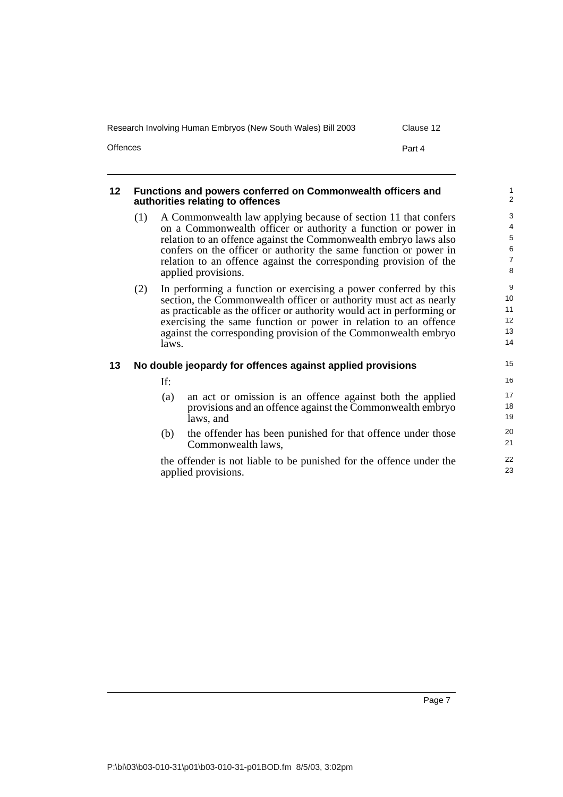Offences **Part 4** 

#### <span id="page-14-0"></span>**12 Functions and powers conferred on Commonwealth officers and authorities relating to offences**

- (1) A Commonwealth law applying because of section 11 that confers on a Commonwealth officer or authority a function or power in relation to an offence against the Commonwealth embryo laws also confers on the officer or authority the same function or power in relation to an offence against the corresponding provision of the applied provisions.
- (2) In performing a function or exercising a power conferred by this section, the Commonwealth officer or authority must act as nearly as practicable as the officer or authority would act in performing or exercising the same function or power in relation to an offence against the corresponding provision of the Commonwealth embryo laws.

## <span id="page-14-1"></span>**13 No double jeopardy for offences against applied provisions**

If:

- (a) an act or omission is an offence against both the applied provisions and an offence against the Commonwealth embryo laws, and
- (b) the offender has been punished for that offence under those Commonwealth laws,

the offender is not liable to be punished for the offence under the applied provisions.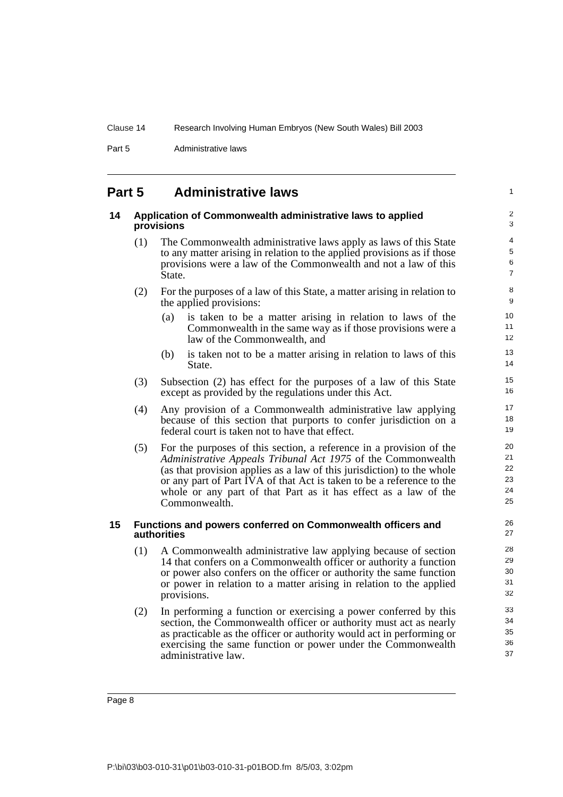Part 5 Administrative laws

# <span id="page-15-0"></span>**Part 5 Administrative laws**

#### <span id="page-15-1"></span>**14 Application of Commonwealth administrative laws to applied provisions**

- (1) The Commonwealth administrative laws apply as laws of this State to any matter arising in relation to the applied provisions as if those provisions were a law of the Commonwealth and not a law of this State.
- (2) For the purposes of a law of this State, a matter arising in relation to the applied provisions:
	- (a) is taken to be a matter arising in relation to laws of the Commonwealth in the same way as if those provisions were a law of the Commonwealth, and

1

- (b) is taken not to be a matter arising in relation to laws of this State.
- (3) Subsection (2) has effect for the purposes of a law of this State except as provided by the regulations under this Act.
- (4) Any provision of a Commonwealth administrative law applying because of this section that purports to confer jurisdiction on a federal court is taken not to have that effect.
- (5) For the purposes of this section, a reference in a provision of the *Administrative Appeals Tribunal Act 1975* of the Commonwealth (as that provision applies as a law of this jurisdiction) to the whole or any part of Part IVA of that Act is taken to be a reference to the whole or any part of that Part as it has effect as a law of the Commonwealth.

#### <span id="page-15-2"></span>**15 Functions and powers conferred on Commonwealth officers and authorities**

- (1) A Commonwealth administrative law applying because of section 14 that confers on a Commonwealth officer or authority a function or power also confers on the officer or authority the same function or power in relation to a matter arising in relation to the applied provisions.
- (2) In performing a function or exercising a power conferred by this section, the Commonwealth officer or authority must act as nearly as practicable as the officer or authority would act in performing or exercising the same function or power under the Commonwealth administrative law.

P:\bi\03\b03-010-31\p01\b03-010-31-p01BOD.fm 8/5/03, 3:02pm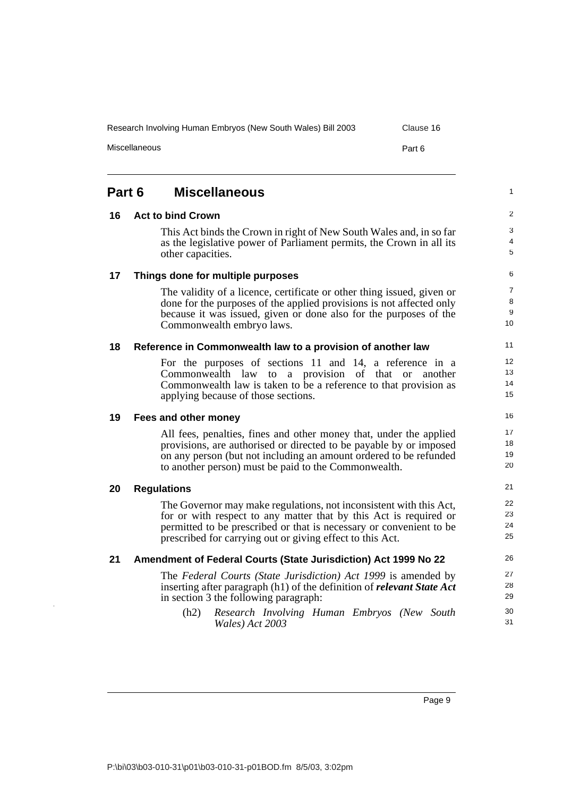Miscellaneous **Part 6** 

1

# <span id="page-16-0"></span>**Part 6 Miscellaneous**

#### <span id="page-16-1"></span>**16 Act to bind Crown**

This Act binds the Crown in right of New South Wales and, in so far as the legislative power of Parliament permits, the Crown in all its other capacities.

#### <span id="page-16-2"></span>**17 Things done for multiple purposes**

The validity of a licence, certificate or other thing issued, given or done for the purposes of the applied provisions is not affected only because it was issued, given or done also for the purposes of the Commonwealth embryo laws.

### <span id="page-16-3"></span>**18 Reference in Commonwealth law to a provision of another law**

For the purposes of sections 11 and 14, a reference in a Commonwealth law to a provision of that or another Commonwealth law is taken to be a reference to that provision as applying because of those sections.

#### <span id="page-16-4"></span>**19 Fees and other money**

All fees, penalties, fines and other money that, under the applied provisions, are authorised or directed to be payable by or imposed on any person (but not including an amount ordered to be refunded to another person) must be paid to the Commonwealth.

#### <span id="page-16-5"></span>**20 Regulations**

The Governor may make regulations, not inconsistent with this Act, for or with respect to any matter that by this Act is required or permitted to be prescribed or that is necessary or convenient to be prescribed for carrying out or giving effect to this Act.

#### <span id="page-16-6"></span>**21 Amendment of Federal Courts (State Jurisdiction) Act 1999 No 22**

The *Federal Courts (State Jurisdiction) Act 1999* is amended by inserting after paragraph (h1) of the definition of *relevant State Act* in section 3 the following paragraph:

(h2) *Research Involving Human Embryos (New South Wales) Act 2003*

Page 9